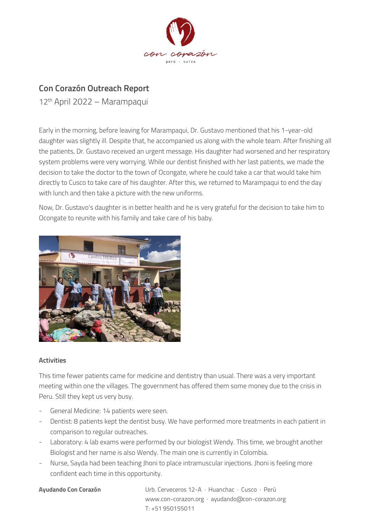

## **Con Corazón Outreach Report**

12th April 2022 – Marampaqui

Early in the morning, before leaving for Marampaqui, Dr. Gustavo mentioned that his 1-year-old daughter was slightly ill. Despite that, he accompanied us along with the whole team. After finishing all the patients, Dr. Gustavo received an urgent message. His daughter had worsened and her respiratory system problems were very worrying. While our dentist finished with her last patients, we made the decision to take the doctor to the town of Ocongate, where he could take a car that would take him directly to Cusco to take care of his daughter. After this, we returned to Marampaqui to end the day with lunch and then take a picture with the new uniforms.

Now, Dr. Gustavo's daughter is in better health and he is very grateful for the decision to take him to Ocongate to reunite with his family and take care of his baby.



## **Activities**

This time fewer patients came for medicine and dentistry than usual. There was a very important meeting within one the villages. The government has offered them some money due to the crisis in Peru. Still they kept us very busy.

- General Medicine: 14 patients were seen.
- Dentist: 8 patients kept the dentist busy. We have performed more treatments in each patient in comparison to regular outreaches.
- Laboratory: 4 lab exams were performed by our biologist Wendy. This time, we brought another Biologist and her name is also Wendy. The main one is currently in Colombia.
- Nurse, Sayda had been teaching Jhoni to place intramuscular injections. Jhoni is feeling more confident each time in this opportunity.

**Ayudando Con Corazón** Urb. Cerveceros 12-A · Huanchac · Cusco · Perú www.con-corazon.org · ayudando@con-corazon.org T: +51 950155011